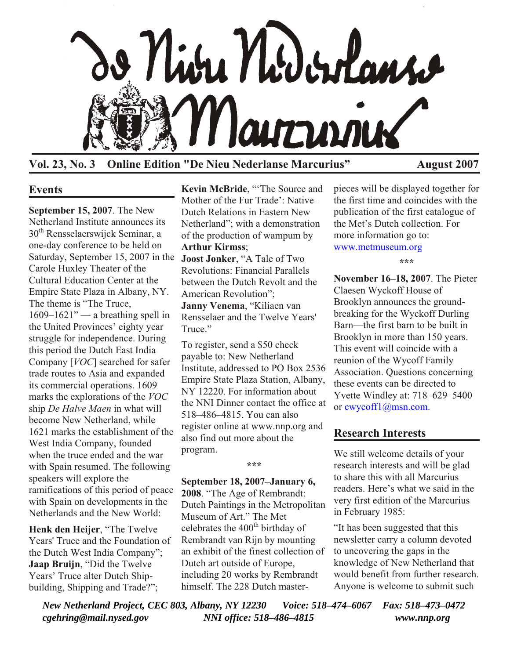

**Vol. 23, No. 3 Online Edition "De Nieu Nederlanse Marcurius" August 2007**

#### **Events**

**September 15, 2007**. The New Netherland Institute announces its 30<sup>th</sup> Rensselaerswijck Seminar, a one-day conference to be held on Saturday, September 15, 2007 in the **Joost Jonker**, "A Tale of Two Carole Huxley Theater of the Cultural Education Center at the Empire State Plaza in Albany, NY. The theme is "The Truce,  $1609-1621"$  — a breathing spell in the United Provinces' eighty year struggle for independence. During this period the Dutch East India Company [*VOC*] searched for safer trade routes to Asia and expanded its commercial operations. 1609 marks the explorations of the *VOC* ship *De Halve Maen* in what will become New Netherland, while 1621 marks the establishment of the West India Company, founded when the truce ended and the war with Spain resumed. The following speakers will explore the ramifications of this period of peace with Spain on developments in the Netherlands and the New World:

**Henk den Heijer**, "The Twelve Years' Truce and the Foundation of the Dutch West India Company"; **Jaap Bruijn**, "Did the Twelve Years' Truce alter Dutch Shipbuilding, Shipping and Trade?";

**Kevin McBride**, "'The Source and Mother of the Fur Trade': Native– Dutch Relations in Eastern New Netherland"; with a demonstration of the production of wampum by **Arthur Kirmss**;

Revolutions: Financial Parallels between the Dutch Revolt and the American Revolution"; **Janny Venema**, "Kiliaen van

Rensselaer and the Twelve Years' Truce"

To register, send a \$50 check payable to: New Netherland Institute, addressed to PO Box 2536 Empire State Plaza Station, Albany, NY 12220. For information about the NNI Dinner contact the office at 518–486–4815. You can also register online at www.nnp.org and also find out more about the program.

**\*\*\***

**September 18, 2007–January 6, 2008**. "The Age of Rembrandt: Dutch Paintings in the Metropolitan Museum of Art." The Met celebrates the  $400<sup>th</sup>$  birthday of Rembrandt van Rijn by mounting an exhibit of the finest collection of Dutch art outside of Europe, including 20 works by Rembrandt himself. The 228 Dutch masterpieces will be displayed together for the first time and coincides with the publication of the first catalogue of the Met's Dutch collection. For more information go to: [www.metmuseum.org](http://www.metmuseum.org)

**\*\*\***

**November 16–18, 2007**. The Pieter Claesen Wyckoff House of Brooklyn announces the groundbreaking for the Wyckoff Durling Barn—the first barn to be built in Brooklyn in more than 150 years. This event will coincide with a reunion of the Wycoff Family Association. Questions concerning these events can be directed to Yvette Windley at: 718–629–5400 or [cwycoff1@msn.com.](mailto:cwycoff1@msn.com)

## **Research Interests**

We still welcome details of your research interests and will be glad to share this with all Marcurius readers. Here's what we said in the very first edition of the Marcurius in February 1985:

"It has been suggested that this newsletter carry a column devoted to uncovering the gaps in the knowledge of New Netherland that would benefit from further research. Anyone is welcome to submit such

*New Netherland Project, CEC 803, Albany, NY 12230 Voice: 518–474–6067 Fax: 518–473–0472 cgehring@mail.nysed.gov NNI office: 518–486–4815 www.nnp.org*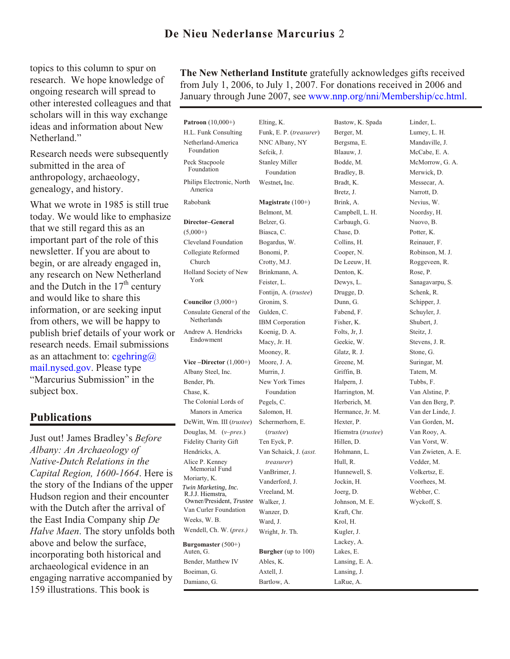# **De Nieu Nederlanse Marcurius** 2

topics to this column to spur on research. We hope knowledge of ongoing research will spread to other interested colleagues and that scholars will in this way exchange ideas and information about New Netherland."

Research needs were subsequently submitted in the area of anthropology, archaeology, genealogy, and history.

What we wrote in 1985 is still true today. We would like to emphasize that we still regard this as an important part of the role of this newsletter. If you are about to begin, or are already engaged in, any research on New Netherland and the Dutch in the  $17<sup>th</sup>$  century and would like to share this information, or are seeking input from others, we will be happy to publish brief details of your work or research needs. Email submissions as an attachment to:  $c$ gehring $\omega$ mail.nysed.gov. Please type "Marcurius Submission" in the subject box.

#### **Publications**

Just out! James Bradley's *Before Albany: An Archaeology of Native-Dutch Relations in the Capital Region, 1600-1664*. Here is the story of the Indians of the upper Hudson region and their encounter with the Dutch after the arrival of the East India Company ship *De Halve Maen*. The story unfolds both above and below the surface, incorporating both historical and archaeological evidence in an engaging narrative accompanied by 159 illustrations. This book is

**The New Netherland Institute** gratefully acknowledges gifts received from July 1, 2006, to July 1, 2007. For donations received in 2006 and January through June 2007, see [www.nnp.org/nni/](http://www.nnp.org/nni/Membership/cc.html)Membership/cc.html.

**Patroon** (10,000+) H.L. Funk Consulting Netherland-America Foundation Peck Stacpoole Foundation Philips Electronic, North America Rabobank **Director–General**  $(5,000+)$ Cleveland Foundation Collegiate Reformed Church Holland Society of New York **Councilor** (3,000+) Consulate General of the **Netherlands** Andrew A. Hendricks Endowment **Vice –Director** (1,000+) Albany Steel, Inc. Bender, Ph. Chase, K. The Colonial Lords of Manors in America DeWitt, Wm. III (*trustee*) Douglas, M. (*v–pres.*) Fidelity Charity Gift Hendricks, A. Alice P. Kenney Memorial Fund Moriarty, K. Van Curler Foundation Weeks, W. B. Wendell, Ch. W. (*pres.)* **Burgomaster** (500+) Auten, G. Bender, Matthew IV Boeiman, G. Damiano, G. Elting, K. Funk, E. P. (*treasurer*) NNC Albany, NY Sefcik, J. Stanley Miller Foundation Westnet**,** Inc. **Magistrate** (100+) Belmont, M. Belzer, G. Biasca, C. Bogardus, W. Bonomi, P. Crotty, M.J. Brinkmann, A. Feister, L. Fontijn, A. (*trustee*) Gronim, S. Gulden, C. IBM Corporation Koenig, D. A. Macy, Jr. H. Mooney, R. Moore, J. A. Murrin, J. New York Times Foundation Pegels, C. Salomon, H. Schermerhorn, E. (*trustee*) Ten Eyck, P. Van Schaick, J. (*asst. treasurer*) VanBrimer, J. Vanderford, J. Vreeland, M. Walker, J. Wanzer, D. Ward, J. Wright, Jr. Th. **Burgher** (up to 100) Ables, K. Axtell, J. Bartlow, A. Berger, M. Blaauw, J. Bodde, M. Bradley, B. Bradt, K. Bretz, J. Brink, A. Chase, D. Collins, H. Cooper, N. Denton, K. Dewys, L. Drugge, D. Dunn, G. Fabend, F. Fisher, K. Folts, Jr, J. Geekie, W. Glatz, R. J. Greene, M. Griffin, B. Halpern, J. Hexter, P. Hillen, D. Hull, R. Jockin, H. Joerg, D. Kraft, Chr. Krol, H. Kugler, J. Lackey, A. Lakes, E. Lansing, J. R.J.J. Hiemstra, Owner/President, *Trustee Twin Marketing, Inc.*

Bastow, K. Spada Bergsma, E. Campbell, L. H. Carbaugh, G. De Leeuw, H. Harrington, M. Herberich, M. Hermance, Jr. M. Hiemstra (*trustee*) Hohmann, L. Hunnewell, S. Johnson, M. E. Lansing, E. A. LaRue, A.

Linder, L. Lumey, L. H. Mandaville, J. McCabe, E. A. McMorrow, G. A. Merwick, D. Messecar, A. Narrott, D. Nevius, W. Noordsy, H. Nuovo, B. Potter, K. Reinauer, F. Robinson, M. J. Roggeveen, R. Rose, P. Sanagavarpu, S. Schenk, R. Schipper, J. Schuyler, J. Shubert, J. Steitz, J. Stevens, J. R. Stone, G. Suringar, M. Tatem, M. Tubbs, F. Van Alstine, P. Van den Berg, P. Van der Linde, J. Van Gorden, M. Van Rooy, A. Van Vorst, W. Van Zwieten, A. E. Vedder, M. Volkertsz, E. Voorhees, M. Webber, C. Wyckoff, S.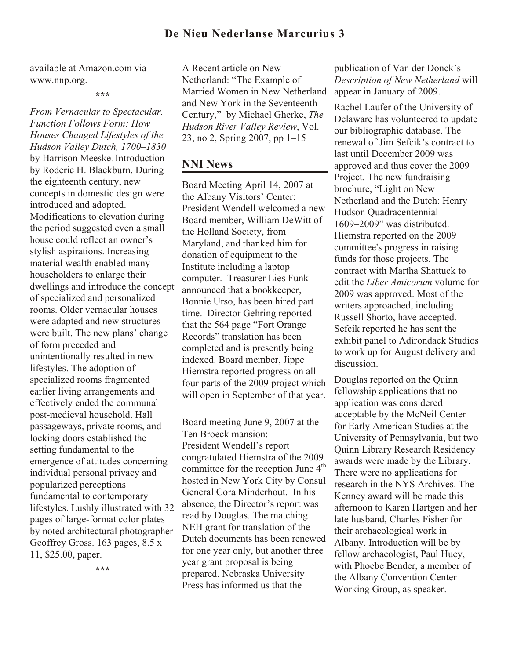### **De Nieu Nederlanse Marcurius 3**

available at Amazon.com via www.nnp.org.

**\*\*\***

*From Vernacular to Spectacular. Function Follows Form: How Houses Changed Lifestyles of the Hudson Valley Dutch, 1700–1830* by Harrison Meeske. Introduction by Roderic H. Blackburn. During the eighteenth century, new concepts in domestic design were introduced and adopted. Modifications to elevation during the period suggested even a small house could reflect an owner's stylish aspirations. Increasing material wealth enabled many householders to enlarge their dwellings and introduce the concept of specialized and personalized rooms. Older vernacular houses were adapted and new structures were built. The new plans' change of form preceded and unintentionally resulted in new lifestyles. The adoption of specialized rooms fragmented earlier living arrangements and effectively ended the communal post-medieval household. Hall passageways, private rooms, and locking doors established the setting fundamental to the emergence of attitudes concerning individual personal privacy and popularized perceptions fundamental to contemporary lifestyles. Lushly illustrated with 32 pages of large-format color plates by noted architectural photographer Geoffrey Gross. 163 pages, 8.5 x 11, \$25.00, paper.

A Recent article on New Netherland: "The Example of Married Women in New Netherland and New York in the Seventeenth Century," by Michael Gherke, *The Hudson River Valley Review*, Vol. 23, no 2, Spring 2007, pp 1–15

### **NNI News**

Board Meeting April 14, 2007 at the Albany Visitors' Center: President Wendell welcomed a new Board member, William DeWitt of the Holland Society, from Maryland, and thanked him for donation of equipment to the Institute including a laptop computer. Treasurer Lies Funk announced that a bookkeeper, Bonnie Urso, has been hired part time. Director Gehring reported that the 564 page "Fort Orange Records" translation has been completed and is presently being indexed. Board member, Jippe Hiemstra reported progress on all four parts of the 2009 project which will open in September of that year.

Board meeting June 9, 2007 at the Ten Broeck mansion: President Wendell's report congratulated Hiemstra of the 2009 committee for the reception June 4<sup>th</sup> hosted in New York City by Consul General Cora Minderhout. In his absence, the Director's report was read by Douglas. The matching NEH grant for translation of the Dutch documents has been renewed for one year only, but another three year grant proposal is being prepared. Nebraska University Press has informed us that the

publication of Van der Donck's *Description of New Netherland* will appear in January of 2009.

Rachel Laufer of the University of Delaware has volunteered to update our bibliographic database. The renewal of Jim Sefcik's contract to last until December 2009 was approved and thus cover the 2009 Project. The new fundraising brochure, "Light on New Netherland and the Dutch: Henry Hudson Quadracentennial 1609–2009" was distributed. Hiemstra reported on the 2009 committee's progress in raising funds for those projects. The contract with Martha Shattuck to edit the *Liber Amicorum* volume for 2009 was approved. Most of the writers approached, including Russell Shorto, have accepted. Sefcik reported he has sent the exhibit panel to Adirondack Studios to work up for August delivery and discussion.

Douglas reported on the Quinn fellowship applications that no application was considered acceptable by the McNeil Center for Early American Studies at the University of Pennsylvania, but two Quinn Library Research Residency awards were made by the Library. There were no applications for research in the NYS Archives. The Kenney award will be made this afternoon to Karen Hartgen and her late husband, Charles Fisher for their archaeological work in Albany. Introduction will be by fellow archaeologist, Paul Huey, with Phoebe Bender, a member of the Albany Convention Center Working Group, as speaker.